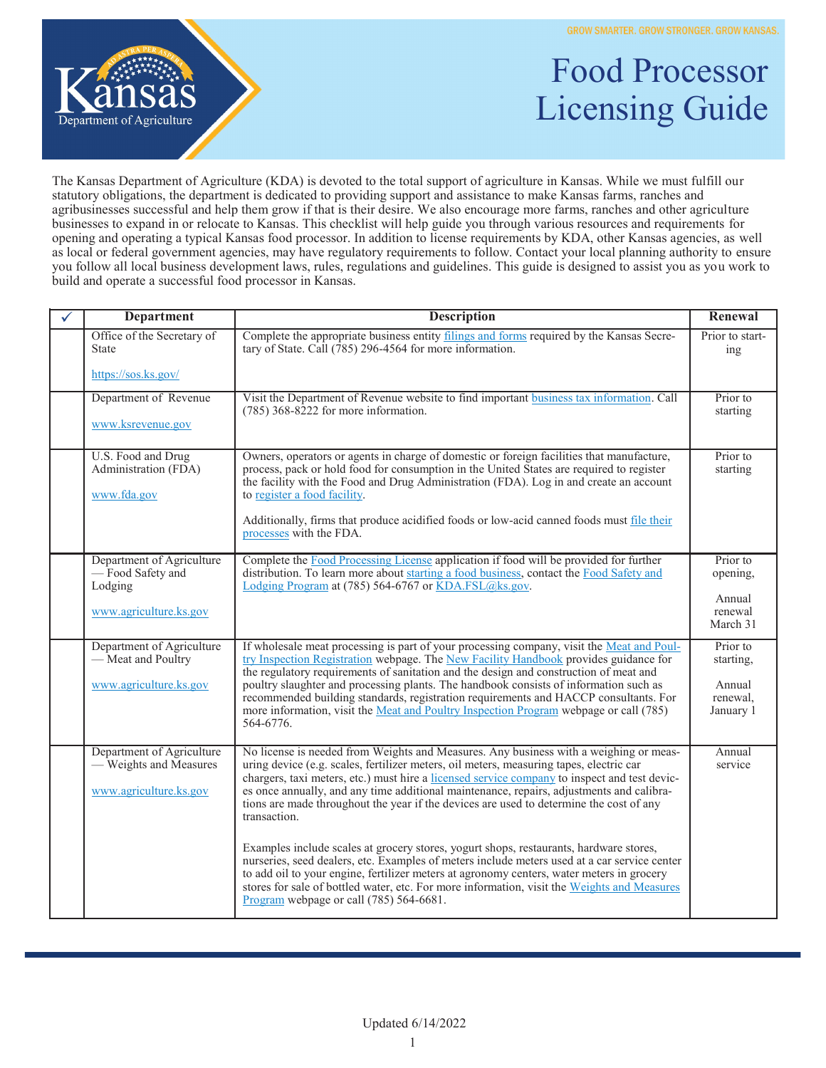

## Food Processor Licensing Guide

The Kansas Department of Agriculture (KDA) is devoted to the total support of agriculture in Kansas. While we must fulfill our statutory obligations, the department is dedicated to providing support and assistance to make Kansas farms, ranches and agribusinesses successful and help them grow if that is their desire. We also encourage more farms, ranches and other agriculture businesses to expand in or relocate to Kansas. This checklist will help guide you through various resources and requirements for opening and operating a typical Kansas food processor. In addition to license requirements by KDA, other Kansas agencies, as well as local or federal government agencies, may have regulatory requirements to follow. Contact your local planning authority to ensure you follow all local business development laws, rules, regulations and guidelines. This guide is designed to assist you as you work to build and operate a successful food processor in Kansas.

| <b>Department</b>                                                                  | <b>Description</b>                                                                                                                                                                                                                                                                                                                                                                                                                                                                                                                                                | Renewal                                                  |
|------------------------------------------------------------------------------------|-------------------------------------------------------------------------------------------------------------------------------------------------------------------------------------------------------------------------------------------------------------------------------------------------------------------------------------------------------------------------------------------------------------------------------------------------------------------------------------------------------------------------------------------------------------------|----------------------------------------------------------|
| Office of the Secretary of<br><b>State</b>                                         | Complete the appropriate business entity filings and forms required by the Kansas Secre-<br>tary of State. Call (785) 296-4564 for more information.                                                                                                                                                                                                                                                                                                                                                                                                              | Prior to start-<br>ing                                   |
| https://sos.ks.gov/                                                                |                                                                                                                                                                                                                                                                                                                                                                                                                                                                                                                                                                   |                                                          |
| Department of Revenue<br>www.ksrevenue.gov                                         | Visit the Department of Revenue website to find important business tax information. Call<br>$(785)$ 368-8222 for more information.                                                                                                                                                                                                                                                                                                                                                                                                                                | Prior to<br>starting                                     |
| U.S. Food and Drug<br>Administration (FDA)<br>www.fda.gov                          | Owners, operators or agents in charge of domestic or foreign facilities that manufacture,<br>process, pack or hold food for consumption in the United States are required to register<br>the facility with the Food and Drug Administration (FDA). Log in and create an account<br>to register a food facility.<br>Additionally, firms that produce acidified foods or low-acid canned foods must file their<br>processes with the FDA.                                                                                                                           | Prior to<br>starting                                     |
| Department of Agriculture<br>-Food Safety and<br>Lodging<br>www.agriculture.ks.gov | Complete the Food Processing License application if food will be provided for further<br>distribution. To learn more about starting a food business, contact the Food Safety and<br>Lodging Program at (785) 564-6767 or KDA.FSL@ks.gov.                                                                                                                                                                                                                                                                                                                          | Prior to<br>opening,<br>Annual<br>renewal<br>March 31    |
| Department of Agriculture<br>— Meat and Poultry<br>www.agriculture.ks.gov          | If wholesale meat processing is part of your processing company, visit the Meat and Poul-<br>try Inspection Registration webpage. The New Facility Handbook provides guidance for<br>the regulatory requirements of sanitation and the design and construction of meat and<br>poultry slaughter and processing plants. The handbook consists of information such as<br>recommended building standards, registration requirements and HACCP consultants. For<br>more information, visit the Meat and Poultry Inspection Program webpage or call (785)<br>564-6776. | Prior to<br>starting,<br>Annual<br>renewal,<br>January 1 |
| Department of Agriculture<br>- Weights and Measures<br>www.agriculture.ks.gov      | No license is needed from Weights and Measures. Any business with a weighing or meas-<br>uring device (e.g. scales, fertilizer meters, oil meters, measuring tapes, electric car<br>chargers, taxi meters, etc.) must hire a licensed service company to inspect and test devic-<br>es once annually, and any time additional maintenance, repairs, adjustments and calibra-<br>tions are made throughout the year if the devices are used to determine the cost of any<br>transaction.                                                                           | Annual<br>service                                        |
|                                                                                    | Examples include scales at grocery stores, yogurt shops, restaurants, hardware stores,<br>nurseries, seed dealers, etc. Examples of meters include meters used at a car service center<br>to add oil to your engine, fertilizer meters at agronomy centers, water meters in grocery<br>stores for sale of bottled water, etc. For more information, visit the Weights and Measures<br>Program webpage or call (785) 564-6681.                                                                                                                                     |                                                          |